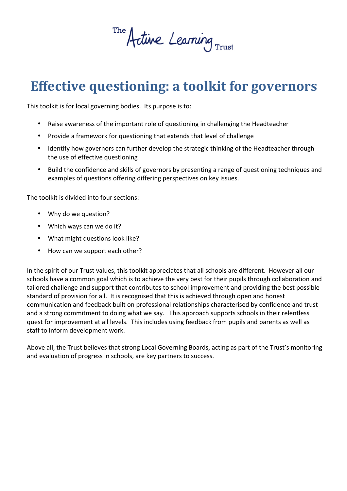The Active Learning Trust

# **Effective questioning: a toolkit for governors**

This toolkit is for local governing bodies. Its purpose is to:

- Raise awareness of the important role of questioning in challenging the Headteacher
- Provide a framework for questioning that extends that level of challenge
- Identify how governors can further develop the strategic thinking of the Headteacher through the use of effective questioning
- Build the confidence and skills of governors by presenting a range of questioning techniques and examples of questions offering differing perspectives on key issues.

The toolkit is divided into four sections:

- Why do we question?
- Which ways can we do it?
- What might questions look like?
- How can we support each other?

In the spirit of our Trust values, this toolkit appreciates that all schools are different. However all our schools have a common goal which is to achieve the very best for their pupils through collaboration and tailored challenge and support that contributes to school improvement and providing the best possible standard of provision for all. It is recognised that this is achieved through open and honest communication and feedback built on professional relationships characterised by confidence and trust and a strong commitment to doing what we say. This approach supports schools in their relentless quest for improvement at all levels. This includes using feedback from pupils and parents as well as staff to inform development work.

Above all, the Trust believes that strong Local Governing Boards, acting as part of the Trust's monitoring and evaluation of progress in schools, are key partners to success.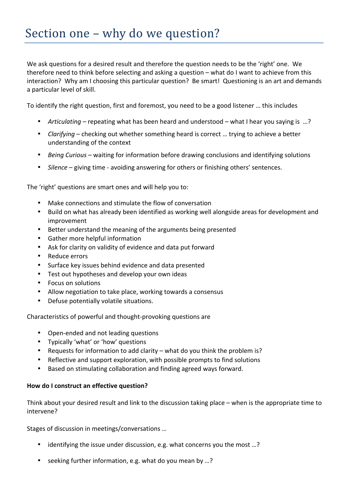We ask questions for a desired result and therefore the question needs to be the 'right' one. We therefore need to think before selecting and asking a question  $-$  what do I want to achieve from this interaction? Why am I choosing this particular question? Be smart! Questioning is an art and demands a particular level of skill.

To identify the right question, first and foremost, you need to be a good listener ... this includes

- *Articulating* repeating what has been heard and understood what I hear you saying is ...?
- *Clarifying* checking out whether something heard is correct ... trying to achieve a better understanding of the context
- Being Curious waiting for information before drawing conclusions and identifying solutions
- Silence giving time avoiding answering for others or finishing others' sentences.

The 'right' questions are smart ones and will help you to:

- Make connections and stimulate the flow of conversation
- Build on what has already been identified as working well alongside areas for development and improvement
- Better understand the meaning of the arguments being presented
- Gather more helpful information
- Ask for clarity on validity of evidence and data put forward
- Reduce errors
- Surface key issues behind evidence and data presented
- Test out hypotheses and develop your own ideas
- Focus on solutions
- Allow negotiation to take place, working towards a consensus
- Defuse potentially volatile situations.

Characteristics of powerful and thought-provoking questions are

- Open-ended and not leading questions
- Typically 'what' or 'how' questions
- Requests for information to add clarity what do you think the problem is?
- Reflective and support exploration, with possible prompts to find solutions
- Based on stimulating collaboration and finding agreed ways forward.

#### How do I construct an effective question?

Think about your desired result and link to the discussion taking place – when is the appropriate time to intervene?

Stages of discussion in meetings/conversations ...

- identifying the issue under discussion, e.g. what concerns you the most ...?
- seeking further information, e.g. what do you mean by ...?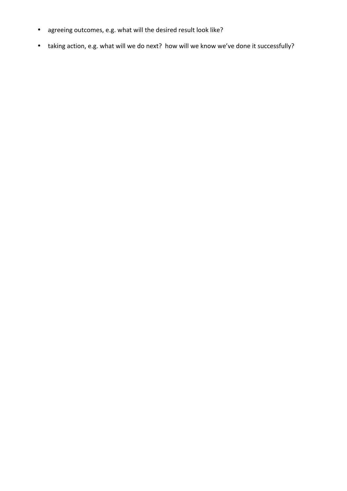- agreeing outcomes, e.g. what will the desired result look like?
- taking action, e.g. what will we do next? how will we know we've done it successfully?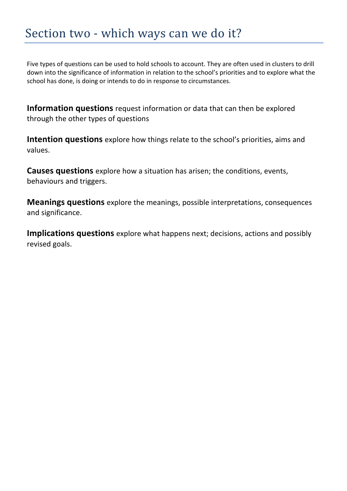## Section two - which ways can we do it?

Five types of questions can be used to hold schools to account. They are often used in clusters to drill down into the significance of information in relation to the school's priorities and to explore what the school has done, is doing or intends to do in response to circumstances.

**Information questions** request information or data that can then be explored through the other types of questions

**Intention questions** explore how things relate to the school's priorities, aims and values.

**Causes questions** explore how a situation has arisen; the conditions, events, behaviours and triggers.

**Meanings questions** explore the meanings, possible interpretations, consequences and significance.

**Implications questions** explore what happens next; decisions, actions and possibly revised goals.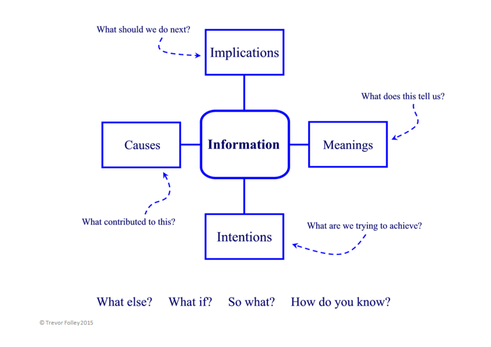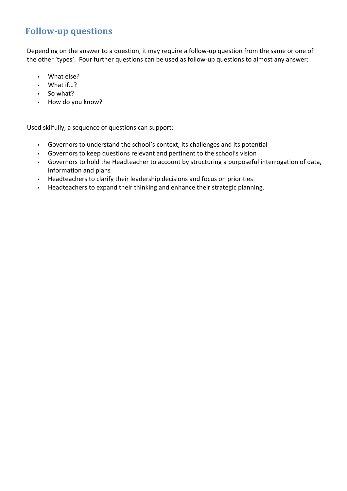### **Follow-up questions**

Depending on the answer to a question, it may require a follow-up question from the same or one of the other 'types'. Four further questions can be used as follow-up questions to almost any answer:

- What else?
- $\cdot$  What if...?
- So what?
- How do you know?

Used skilfully, a sequence of questions can support:

- Governors to understand the school's context, its challenges and its potential
- Governors to keep questions relevant and pertinent to the school's vision
- Governors to hold the Headteacher to account by structuring a purposeful interrogation of data, information and plans
- Headteachers to clarify their leadership decisions and focus on priorities
- Headteachers to expand their thinking and enhance their strategic planning.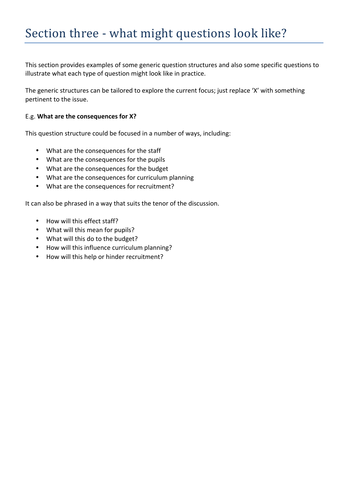This section provides examples of some generic question structures and also some specific questions to illustrate what each type of question might look like in practice.

The generic structures can be tailored to explore the current focus; just replace 'X' with something pertinent to the issue.

#### E.g. What are the consequences for X?

This question structure could be focused in a number of ways, including:

- What are the consequences for the staff
- What are the consequences for the pupils
- What are the consequences for the budget
- What are the consequences for curriculum planning
- What are the consequences for recruitment?

It can also be phrased in a way that suits the tenor of the discussion.

- How will this effect staff?
- What will this mean for pupils?
- What will this do to the budget?
- How will this influence curriculum planning?
- How will this help or hinder recruitment?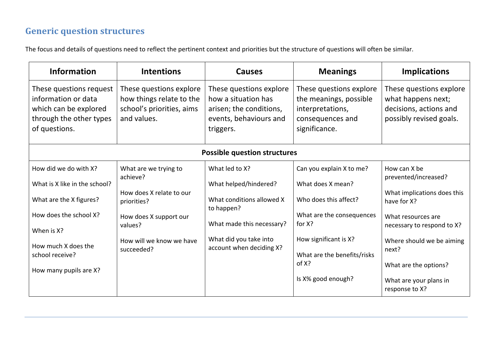### **Generic question structures**

The focus and details of questions need to reflect the pertinent context and priorities but the structure of questions will often be similar.

| <b>Information</b>                                                                                                  | <b>Intentions</b>                                                                               | <b>Causes</b>                                                                                                    | <b>Meanings</b>                                                                                            | <b>Implications</b>                                                                                |  |  |  |
|---------------------------------------------------------------------------------------------------------------------|-------------------------------------------------------------------------------------------------|------------------------------------------------------------------------------------------------------------------|------------------------------------------------------------------------------------------------------------|----------------------------------------------------------------------------------------------------|--|--|--|
| These questions request<br>information or data<br>which can be explored<br>through the other types<br>of questions. | These questions explore<br>how things relate to the<br>school's priorities, aims<br>and values. | These questions explore<br>how a situation has<br>arisen; the conditions,<br>events, behaviours and<br>triggers. | These questions explore<br>the meanings, possible<br>interpretations,<br>consequences and<br>significance. | These questions explore<br>what happens next;<br>decisions, actions and<br>possibly revised goals. |  |  |  |
| <b>Possible question structures</b>                                                                                 |                                                                                                 |                                                                                                                  |                                                                                                            |                                                                                                    |  |  |  |
| How did we do with X?                                                                                               | What are we trying to<br>achieve?                                                               | What led to X?                                                                                                   | Can you explain X to me?                                                                                   | How can X be<br>prevented/increased?                                                               |  |  |  |
| What is X like in the school?                                                                                       |                                                                                                 | What helped/hindered?                                                                                            | What does X mean?                                                                                          |                                                                                                    |  |  |  |
| What are the X figures?                                                                                             | How does X relate to our<br>priorities?                                                         | What conditions allowed X<br>to happen?                                                                          | Who does this affect?                                                                                      | What implications does this<br>have for X?                                                         |  |  |  |
| How does the school X?                                                                                              | How does X support our                                                                          |                                                                                                                  | What are the consequences                                                                                  | What resources are                                                                                 |  |  |  |
| When is X?                                                                                                          | values?                                                                                         | What made this necessary?                                                                                        | for X?                                                                                                     | necessary to respond to X?                                                                         |  |  |  |
| How much X does the<br>school receive?                                                                              | How will we know we have<br>succeeded?                                                          | What did you take into<br>account when deciding X?                                                               | How significant is X?<br>What are the benefits/risks<br>of X?                                              | Where should we be aiming<br>next?<br>What are the options?                                        |  |  |  |
| How many pupils are X?                                                                                              |                                                                                                 |                                                                                                                  | Is X% good enough?                                                                                         | What are your plans in<br>response to X?                                                           |  |  |  |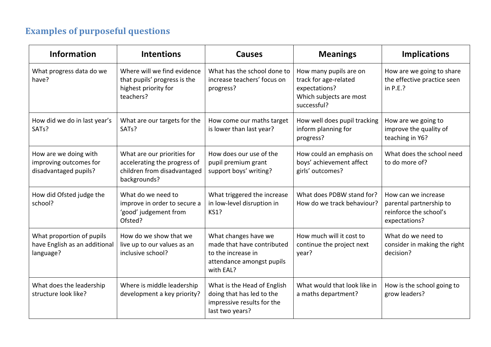## **Examples of purposeful questions**

| <b>Information</b>                                                       | <b>Intentions</b>                                                                                          | <b>Causes</b>                                                                                                      | <b>Meanings</b>                                                                                            | <b>Implications</b>                                                                       |
|--------------------------------------------------------------------------|------------------------------------------------------------------------------------------------------------|--------------------------------------------------------------------------------------------------------------------|------------------------------------------------------------------------------------------------------------|-------------------------------------------------------------------------------------------|
| What progress data do we<br>have?                                        | Where will we find evidence<br>that pupils' progress is the<br>highest priority for<br>teachers?           | What has the school done to<br>increase teachers' focus on<br>progress?                                            | How many pupils are on<br>track for age-related<br>expectations?<br>Which subjects are most<br>successful? | How are we going to share<br>the effective practice seen<br>in $P.E.$ ?                   |
| How did we do in last year's<br>SAT <sub>s</sub> ?                       | What are our targets for the<br>SAT <sub>s</sub> ?                                                         | How come our maths target<br>is lower than last year?                                                              | How well does pupil tracking<br>inform planning for<br>progress?                                           | How are we going to<br>improve the quality of<br>teaching in Y6?                          |
| How are we doing with<br>improving outcomes for<br>disadvantaged pupils? | What are our priorities for<br>accelerating the progress of<br>children from disadvantaged<br>backgrounds? | How does our use of the<br>pupil premium grant<br>support boys' writing?                                           | How could an emphasis on<br>boys' achievement affect<br>girls' outcomes?                                   | What does the school need<br>to do more of?                                               |
| How did Ofsted judge the<br>school?                                      | What do we need to<br>improve in order to secure a<br>'good' judgement from<br>Ofsted?                     | What triggered the increase<br>in low-level disruption in<br><b>KS1?</b>                                           | What does PDBW stand for?<br>How do we track behaviour?                                                    | How can we increase<br>parental partnership to<br>reinforce the school's<br>expectations? |
| What proportion of pupils<br>have English as an additional<br>language?  | How do we show that we<br>live up to our values as an<br>inclusive school?                                 | What changes have we<br>made that have contributed<br>to the increase in<br>attendance amongst pupils<br>with EAL? | How much will it cost to<br>continue the project next<br>year?                                             | What do we need to<br>consider in making the right<br>decision?                           |
| What does the leadership<br>structure look like?                         | Where is middle leadership<br>development a key priority?                                                  | What is the Head of English<br>doing that has led to the<br>impressive results for the<br>last two years?          | What would that look like in<br>a maths department?                                                        | How is the school going to<br>grow leaders?                                               |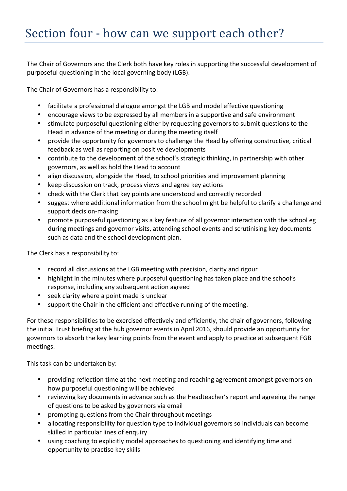The Chair of Governors and the Clerk both have key roles in supporting the successful development of purposeful questioning in the local governing body (LGB).

The Chair of Governors has a responsibility to:

- facilitate a professional dialogue amongst the LGB and model effective questioning
- encourage views to be expressed by all members in a supportive and safe environment
- stimulate purposeful questioning either by requesting governors to submit questions to the Head in advance of the meeting or during the meeting itself
- provide the opportunity for governors to challenge the Head by offering constructive, critical feedback as well as reporting on positive developments
- contribute to the development of the school's strategic thinking, in partnership with other governors, as well as hold the Head to account
- align discussion, alongside the Head, to school priorities and improvement planning
- keep discussion on track, process views and agree key actions
- check with the Clerk that key points are understood and correctly recorded
- suggest where additional information from the school might be helpful to clarify a challenge and support decision-making
- promote purposeful questioning as a key feature of all governor interaction with the school eg during meetings and governor visits, attending school events and scrutinising key documents such as data and the school development plan.

The Clerk has a responsibility to:

- record all discussions at the LGB meeting with precision, clarity and rigour
- highlight in the minutes where purposeful questioning has taken place and the school's response, including any subsequent action agreed
- seek clarity where a point made is unclear
- support the Chair in the efficient and effective running of the meeting.

For these responsibilities to be exercised effectively and efficiently, the chair of governors, following the initial Trust briefing at the hub governor events in April 2016, should provide an opportunity for governors to absorb the key learning points from the event and apply to practice at subsequent FGB meetings.

This task can be undertaken by:

- providing reflection time at the next meeting and reaching agreement amongst governors on how purposeful questioning will be achieved
- reviewing key documents in advance such as the Headteacher's report and agreeing the range of questions to be asked by governors via email
- prompting questions from the Chair throughout meetings
- allocating responsibility for question type to individual governors so individuals can become skilled in particular lines of enquiry
- using coaching to explicitly model approaches to questioning and identifying time and opportunity to practise key skills